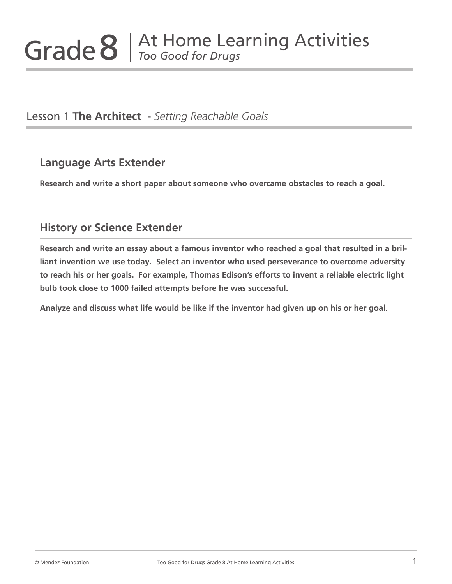Lesson 1 **The Architect** - *Setting Reachable Goals*

# **Language Arts Extender**

**Research and write a short paper about someone who overcame obstacles to reach a goal.**

# **History or Science Extender**

**Research and write an essay about a famous inventor who reached a goal that resulted in a brilliant invention we use today. Select an inventor who used perseverance to overcome adversity to reach his or her goals. For example, Thomas Edison's efforts to invent a reliable electric light bulb took close to 1000 failed attempts before he was successful.** 

**Analyze and discuss what life would be like if the inventor had given up on his or her goal.**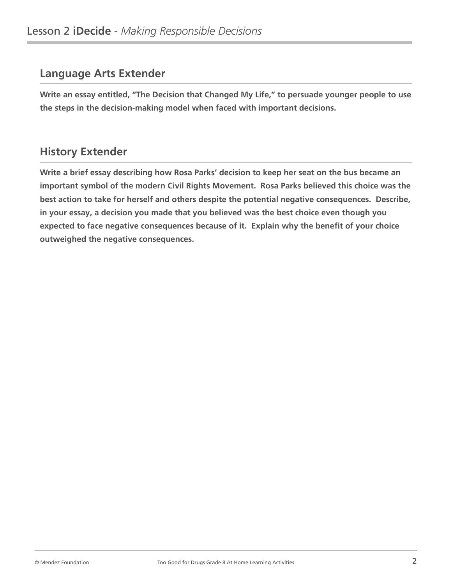**Write an essay entitled, "The Decision that Changed My Life," to persuade younger people to use the steps in the decision-making model when faced with important decisions.**

# **History Extender**

**Write a brief essay describing how Rosa Parks' decision to keep her seat on the bus became an important symbol of the modern Civil Rights Movement. Rosa Parks believed this choice was the best action to take for herself and others despite the potential negative consequences. Describe, in your essay, a decision you made that you believed was the best choice even though you expected to face negative consequences because of it. Explain why the benefit of your choice outweighed the negative consequences.**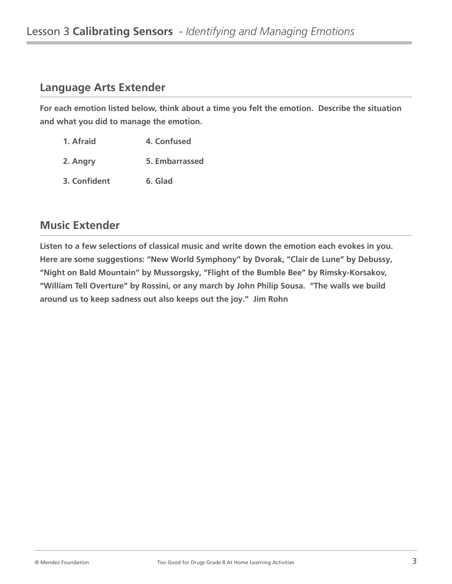**For each emotion listed below, think about a time you felt the emotion. Describe the situation and what you did to manage the emotion.**

- **1. Afraid 6. 4. Confused**
- **2. Angry 5. Embarrassed**
- **3. Confident 6. Glad**

# **Music Extender**

**Listen to a few selections of classical music and write down the emotion each evokes in you. Here are some suggestions: "New World Symphony" by Dvorak, "Clair de Lune" by Debussy, "Night on Bald Mountain" by Mussorgsky, "Flight of the Bumble Bee" by Rimsky-Korsakov, "William Tell Overture" by Rossini, or any march by John Philip Sousa. "The walls we build around us to keep sadness out also keeps out the joy." Jim Rohn**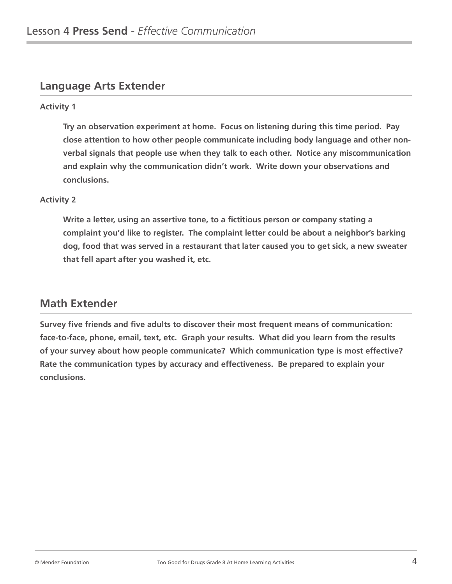#### **Activity 1**

**Try an observation experiment at home. Focus on listening during this time period. Pay close attention to how other people communicate including body language and other nonverbal signals that people use when they talk to each other. Notice any miscommunication and explain why the communication didn't work. Write down your observations and conclusions.**

#### **Activity 2**

**Write a letter, using an assertive tone, to a fictitious person or company stating a complaint you'd like to register. The complaint letter could be about a neighbor's barking dog, food that was served in a restaurant that later caused you to get sick, a new sweater that fell apart after you washed it, etc.**

#### **Math Extender**

**Survey five friends and five adults to discover their most frequent means of communication: face-to-face, phone, email, text, etc. Graph your results. What did you learn from the results of your survey about how people communicate? Which communication type is most effective? Rate the communication types by accuracy and effectiveness. Be prepared to explain your conclusions.**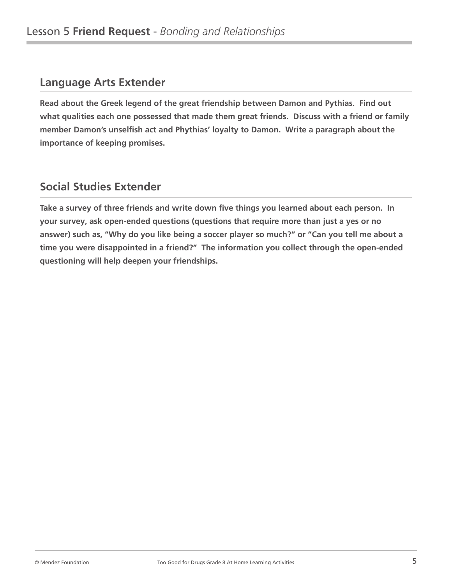**Read about the Greek legend of the great friendship between Damon and Pythias. Find out what qualities each one possessed that made them great friends. Discuss with a friend or family member Damon's unselfish act and Phythias' loyalty to Damon. Write a paragraph about the importance of keeping promises.**

# **Social Studies Extender**

**Take a survey of three friends and write down five things you learned about each person. In your survey, ask open-ended questions (questions that require more than just a yes or no answer) such as, "Why do you like being a soccer player so much?" or "Can you tell me about a time you were disappointed in a friend?" The information you collect through the open-ended questioning will help deepen your friendships.**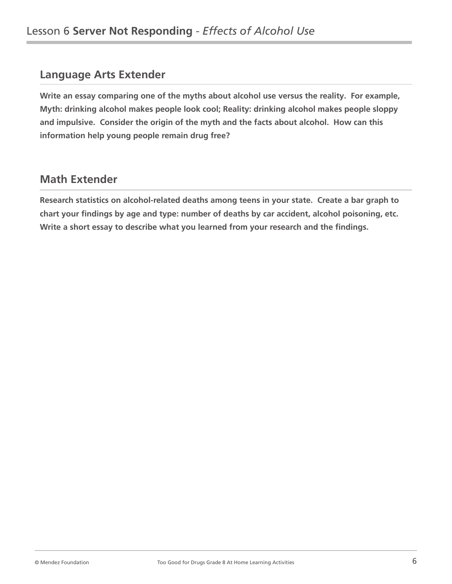**Write an essay comparing one of the myths about alcohol use versus the reality. For example, Myth: drinking alcohol makes people look cool; Reality: drinking alcohol makes people sloppy and impulsive. Consider the origin of the myth and the facts about alcohol. How can this information help young people remain drug free?**

# **Math Extender**

**Research statistics on alcohol-related deaths among teens in your state. Create a bar graph to chart your findings by age and type: number of deaths by car accident, alcohol poisoning, etc. Write a short essay to describe what you learned from your research and the findings.**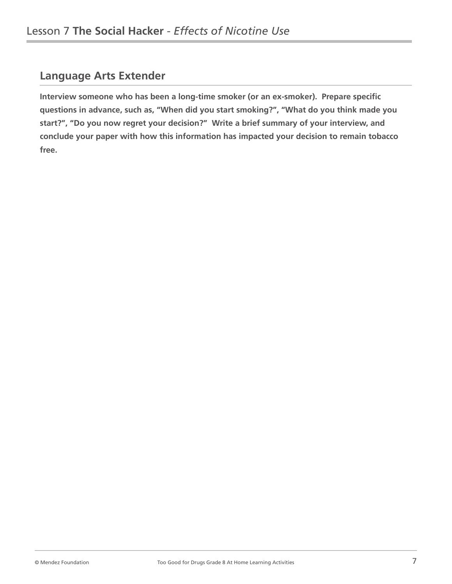**Interview someone who has been a long-time smoker (or an ex-smoker). Prepare specific questions in advance, such as, "When did you start smoking?", "What do you think made you start?", "Do you now regret your decision?" Write a brief summary of your interview, and conclude your paper with how this information has impacted your decision to remain tobacco free.**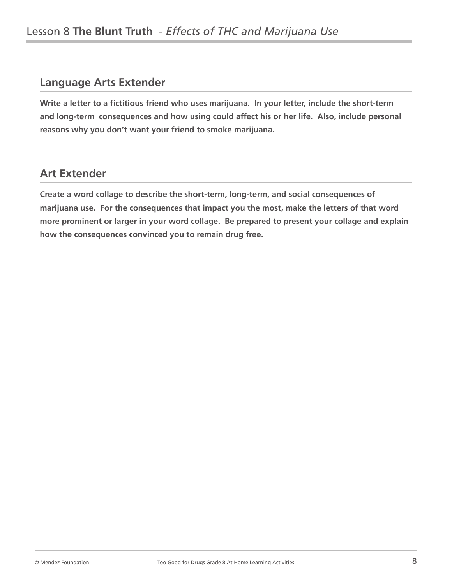**Write a letter to a fictitious friend who uses marijuana. In your letter, include the short-term and long-term consequences and how using could affect his or her life. Also, include personal reasons why you don't want your friend to smoke marijuana.**

# **Art Extender**

**Create a word collage to describe the short-term, long-term, and social consequences of marijuana use. For the consequences that impact you the most, make the letters of that word more prominent or larger in your word collage. Be prepared to present your collage and explain how the consequences convinced you to remain drug free.**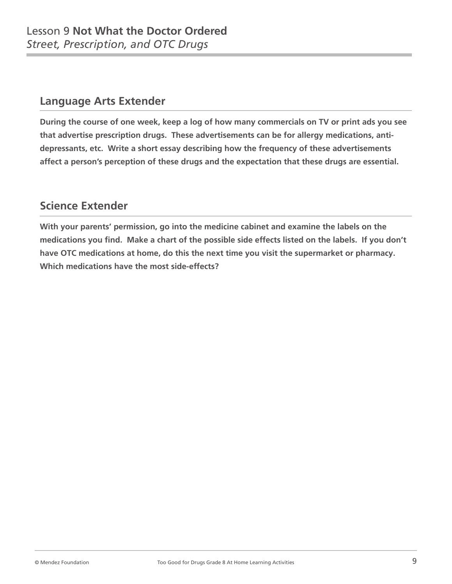**During the course of one week, keep a log of how many commercials on TV or print ads you see that advertise prescription drugs. These advertisements can be for allergy medications, antidepressants, etc. Write a short essay describing how the frequency of these advertisements affect a person's perception of these drugs and the expectation that these drugs are essential.**

# **Science Extender**

**With your parents' permission, go into the medicine cabinet and examine the labels on the medications you find. Make a chart of the possible side effects listed on the labels. If you don't have OTC medications at home, do this the next time you visit the supermarket or pharmacy. Which medications have the most side-effects?**